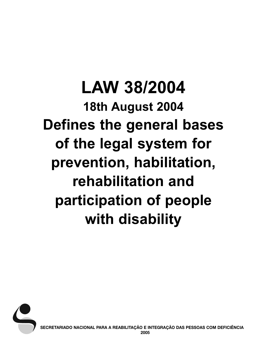# **LAW 38/2004 18th August 2004 Defines the general bases of the legal system for prevention, habilitation, rehabilitation and participation of people with disability**



**SECRETARIADO NACIONAL PARA A REABILITAÇÃO E INTEGRAÇÃO DAS PESSOAS COM DEFICIÊNCIA 2005**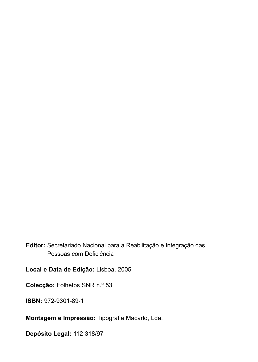## **Editor:** Secretariado Nacional para a Reabilitação e Integração das Pessoas com Deficiência

**Local e Data de Edição:** Lisboa, 2005

**Colecção:** Folhetos SNR n.º 53

**ISBN:** 972-9301-89-1

**Montagem e Impressão:** Tipografia Macarlo, Lda.

**Depósito Legal:** 112 318/97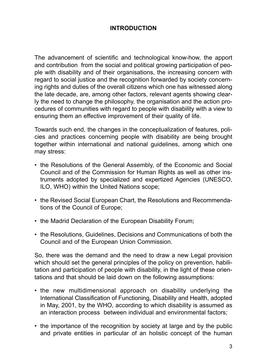## **INTRODUCTION**

The advancement of scientific and technological know-how, the apport and contribution from the social and political growing participation of people with disability and of their organisations, the increasing concern with regard to social justice and the recognition forwarded by society concerning rights and duties of the overall citizens which one has witnessed along the late decade, are, among other factors, relevant agents showing clearly the need to change the philosophy, the organisation and the action procedures of communities with regard to people with disability with a view to ensuring them an effective improvement of their quality of life.

Towards such end, the changes in the conceptualization of features, policies and practices concerning people with disability are being brought together within international and national guidelines, among which one may stress:

- the Resolutions of the General Assembly, of the Economic and Social Council and of the Commission for Human Rights as well as other instruments adopted by specialized and expertized Agencies (UNESCO, ILO, WHO) within the United Nations scope;
- the Revised Social European Chart, the Resolutions and Recommendations of the Council of Europe;
- the Madrid Declaration of the European Disability Forum;
- the Resolutions, Guidelines, Decisions and Communications of both the Council and of the European Union Commission.

So, there was the demand and the need to draw a new Legal provision which should set the general principles of the policy on prevention, habilitation and participation of people with disability, in the light of these orientations and that should be laid down on the following assumptions:

- the new multidimensional approach on disability underlying the International Classification of Functioning, Disability and Health, adopted in May, 2001, by the WHO, according to which disability is assumed as an interaction process between individual and environmental factors;
- the importance of the recognition by society at large and by the public and private entities in particular of an holistic concept of the human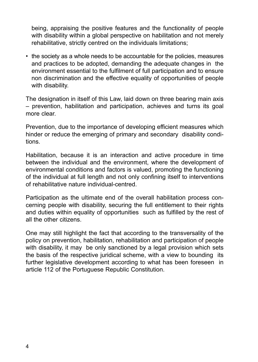• being, appraising the positive features and the functionality of people with disability within a global perspective on habilitation and not merely rehabilitative, strictly centred on the individuals limitations;

• the society as a whole needs to be accountable for the policies, measures and practices to be adopted, demanding the adequate changes in the environment essential to the fulfilment of full participation and to ensure non discrimination and the effective equality of opportunities of people with disability.

The designation in itself of this Law, laid down on three bearing main axis – prevention, habilitation and participation, achieves and turns its goal more clear.

Prevention, due to the importance of developing efficient measures which hinder or reduce the emerging of primary and secondary disability conditions.

Habilitation, because it is an interaction and active procedure in time between the individual and the environment, where the development of environmental conditions and factors is valued, promoting the functioning of the individual at full length and not only confining itself to interventions of rehabilitative nature individual-centred.

Participation as the ultimate end of the overall habilitation process concerning people with disability, securing the full entitlement to their rights and duties within equality of opportunities such as fulfilled by the rest of all the other citizens.

One may still highlight the fact that according to the transversality of the policy on prevention, habilitation, rehabilitation and participation of people with disability, it may be only sanctioned by a legal provision which sets the basis of the respective juridical scheme, with a view to bounding its further legislative development according to what has been foreseen in article 112 of the Portuguese Republic Constitution.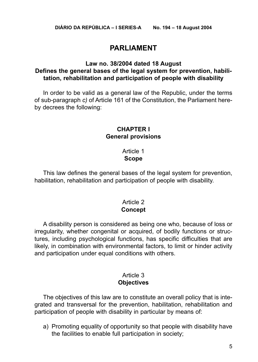## **PARLIAMENT**

#### **Law no. 38/2004 dated 18 August Defines the general bases of the legal system for prevention, habilitation, rehabilitation and participation of people with disability**

In order to be valid as a general law of the Republic, under the terms of sub-paragraph *c)* of Article 161 of the Constitution, the Parliament hereby decrees the following:

#### **CHAPTER I General provisions**

#### Article 1 **Scope**

This law defines the general bases of the legal system for prevention, habilitation, rehabilitation and participation of people with disability.

#### Article 2 **Concept**

A disability person is considered as being one who, because of loss or irregularity, whether congenital or acquired, of bodily functions or structures, including psychological functions, has specific difficulties that are likely, in combination with environmental factors, to limit or hinder activity and participation under equal conditions with others.

#### Article 3 **Objectives**

The objectives of this law are to constitute an overall policy that is integrated and transversal for the prevention, habilitation, rehabilitation and participation of people with disability in particular by means of:

a) Promoting equality of opportunity so that people with disability have the facilities to enable full participation in society;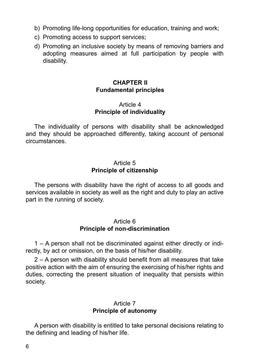- b) Promoting life-long opportunities for education, training and work;
- c) Promoting access to support services;
- d) Promoting an inclusive society by means of removing barriers and adopting measures aimed at full participation by people with disability.

#### **CHAPTER II Fundamental principles**

#### Article 4 **Principle of individuality**

The individuality of persons with disability shall be acknowledged and they should be approached differently, taking account of personal circumstances.

#### Article 5 **Principle of citizenship**

The persons with disability have the right of access to all goods and services available in society as well as the right and duty to play an active part in the running of society.

#### Article 6 **Principle of non-discrimination**

1 – A person shall not be discriminated against either directly or indirectly, by act or omission, on the basis of his/her disability.

2 – A person with disability should benefit from all measures that take positive action with the aim of ensuring the exercising of his/her rights and duties, correcting the present situation of inequality that persists within society.

#### Article 7 **Principle of autonomy**

A person with disability is entitled to take personal decisions relating to the defining and leading of his/her life.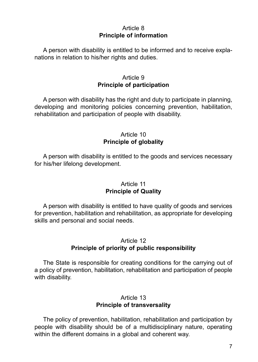## Article 8 **Principle of information**

A person with disability is entitled to be informed and to receive explanations in relation to his/her rights and duties.

## Article 9 **Principle of participation**

A person with disability has the right and duty to participate in planning, developing and monitoring policies concerning prevention, habilitation, rehabilitation and participation of people with disability.

## Article 10 **Principle of globality**

A person with disability is entitled to the goods and services necessary for his/her lifelong development.

## Article 11 **Principle of Quality**

A person with disability is entitled to have quality of goods and services for prevention, habilitation and rehabilitation, as appropriate for developing skills and personal and social needs.

## Article 12 **Principle of priority of public responsibility**

The State is responsible for creating conditions for the carrying out of a policy of prevention, habilitation, rehabilitation and participation of people with disability.

## Article 13 **Principle of transversality**

The policy of prevention, habilitation, rehabilitation and participation by people with disability should be of a multidisciplinary nature, operating within the different domains in a global and coherent way.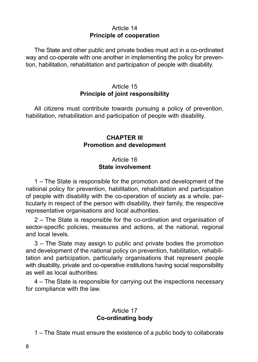#### $Articla 14$ **Principle of cooperation**

The State and other public and private bodies must act in a co-ordinated way and co-operate with one another in implementing the policy for prevention, habilitation, rehabilitation and participation of people with disability.

## Article 15 **Principle of joint responsibility**

All citizens must contribute towards pursuing a policy of prevention, habilitation, rehabilitation and participation of people with disability.

## **CHAPTER III Promotion and development**

## Article 16 **State involvement**

1 – The State is responsible for the promotion and development of the national policy for prevention, habilitation, rehabilitation and participation of people with disability with the co-operation of society as a whole, particularly in respect of the person with disability, their family, the respective representative organisations and local authorities.

2 – The State is responsible for the co-ordination and organisation of sector-specific policies, measures and actions, at the national, regional and local levels.

3 – The State may assign to public and private bodies the promotion and development of the national policy on prevention, habilitation, rehabilitation and participation, particularly organisations that represent people with disability, private and co-operative institutions having social responsibility as well as local authorities.

4 – The State is responsible for carrying out the inspections necessary for compliance with the law.

## Article 17 **Co-ordinating body**

1 – The State must ensure the existence of a public body to collaborate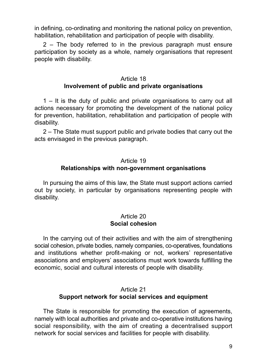in defining, co-ordinating and monitoring the national policy on prevention, habilitation, rehabilitation and participation of people with disability.

2 – The body referred to in the previous paragraph must ensure participation by society as a whole, namely organisations that represent people with disability.

## Article 18 **Involvement of public and private organisations**

1 – It is the duty of public and private organisations to carry out all actions necessary for promoting the development of the national policy for prevention, habilitation, rehabilitation and participation of people with disability.

2 – The State must support public and private bodies that carry out the acts envisaged in the previous paragraph.

## Article 19 **Relationships with non-government organisations**

In pursuing the aims of this law, the State must support actions carried out by society, in particular by organisations representing people with disability.

#### Article 20 **Social cohesion**

In the carrying out of their activities and with the aim of strengthening social cohesion, private bodies, namely companies, co-operatives, foundations and institutions whether profit-making or not, workers' representative associations and employers' associations must work towards fulfilling the economic, social and cultural interests of people with disability.

## Article 21 **Support network for social services and equipment**

The State is responsible for promoting the execution of agreements, namely with local authorities and private and co-operative institutions having social responsibility, with the aim of creating a decentralised support network for social services and facilities for people with disability.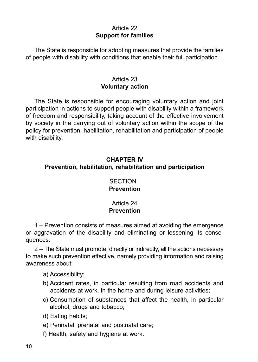## Article 22 **Support for families**

The State is responsible for adopting measures that provide the families of people with disability with conditions that enable their full participation.

## Article 23 **Voluntary action**

The State is responsible for encouraging voluntary action and joint participation in actions to support people with disability within a framework of freedom and responsibility, taking account of the effective involvement by society in the carrying out of voluntary action within the scope of the policy for prevention, habilitation, rehabilitation and participation of people with disability.

## **CHAPTER IV Prevention, habilitation, rehabilitation and participation**

## SECTION I **Prevention**

#### Article 24 **Prevention**

1 – Prevention consists of measures aimed at avoiding the emergence or aggravation of the disability and eliminating or lessening its consequences.

2 – The State must promote, directly or indirectly, all the actions necessary to make such prevention effective, namely providing information and raising awareness about:

a) Accessibility;

- b) Accident rates, in particular resulting from road accidents and accidents at work, in the home and during leisure activities;
- c) Consumption of substances that affect the health, in particular alcohol, drugs and tobacco;
- d) Eating habits;
- e) Perinatal, prenatal and postnatal care;
- f) Health, safety and hygiene at work.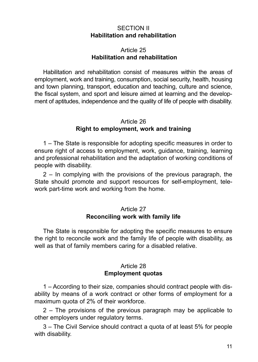#### SECTION II **Habilitation and rehabilitation**

## Article 25 **Habilitation and rehabilitation**

Habilitation and rehabilitation consist of measures within the areas of employment, work and training, consumption, social security, health, housing and town planning, transport, education and teaching, culture and science, the fiscal system, and sport and leisure aimed at learning and the development of aptitudes, independence and the quality of life of people with disability.

#### Article 26 **Right to employment, work and training**

1 – The State is responsible for adopting specific measures in order to ensure right of access to employment, work, guidance, training, learning and professional rehabilitation and the adaptation of working conditions of people with disability.

2 – In complying with the provisions of the previous paragraph, the State should promote and support resources for self-employment, telework part-time work and working from the home.

#### Article 27 **Reconciling work with family life**

The State is responsible for adopting the specific measures to ensure the right to reconcile work and the family life of people with disability, as well as that of family members caring for a disabled relative.

#### Article 28 **Employment quotas**

1 – According to their size, companies should contract people with disability by means of a work contract or other forms of employment for a maximum quota of 2% of their workforce.

2 – The provisions of the previous paragraph may be applicable to other employers under regulatory terms.

3 – The Civil Service should contract a quota of at least 5% for people with disability.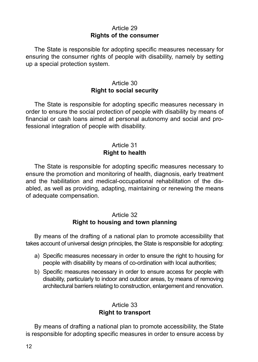## Article 29 **Rights of the consumer**

The State is responsible for adopting specific measures necessary for ensuring the consumer rights of people with disability, namely by setting up a special protection system.

## Article 30 **Right to social security**

The State is responsible for adopting specific measures necessary in order to ensure the social protection of people with disability by means of financial or cash loans aimed at personal autonomy and social and professional integration of people with disability.

## Article 31 **Right to health**

The State is responsible for adopting specific measures necessary to ensure the promotion and monitoring of health, diagnosis, early treatment and the habilitation and medical-occupational rehabilitation of the disabled, as well as providing, adapting, maintaining or renewing the means of adequate compensation.

#### Article 32 **Right to housing and town planning**

By means of the drafting of a national plan to promote accessibility that takes account of universal design principles, the State is responsible for adopting:

- a) Specific measures necessary in order to ensure the right to housing for people with disability by means of co-ordination with local authorities;
- b) Specific measures necessary in order to ensure access for people with disability, particularly to indoor and outdoor areas, by means of removing architectural barriers relating to construction, enlargement and renovation.

## Article 33 **Right to transport**

By means of drafting a national plan to promote accessibility, the State is responsible for adopting specific measures in order to ensure access by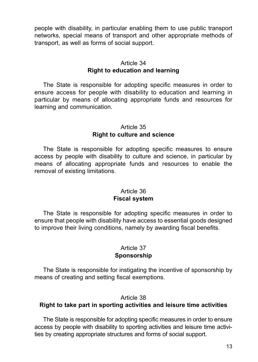people with disability, in particular enabling them to use public transport networks, special means of transport and other appropriate methods of transport, as well as forms of social support.

## Article 34 **Right to education and learning**

The State is responsible for adopting specific measures in order to ensure access for people with disability to education and learning in particular by means of allocating appropriate funds and resources for learning and communication.

#### Article 35 **Right to culture and science**

The State is responsible for adopting specific measures to ensure access by people with disability to culture and science, in particular by means of allocating appropriate funds and resources to enable the removal of existing limitations.

#### Article 36 **Fiscal system**

The State is responsible for adopting specific measures in order to ensure that people with disability have access to essential goods designed to improve their living conditions, namely by awarding fiscal benefits.

## Article 37 **Sponsorship**

The State is responsible for instigating the incentive of sponsorship by means of creating and setting fiscal exemptions.

#### Article 38

## **Right to take part in sporting activities and leisure time activities**

The State is responsible for adopting specific measures in order to ensure access by people with disability to sporting activities and leisure time activities by creating appropriate structures and forms of social support.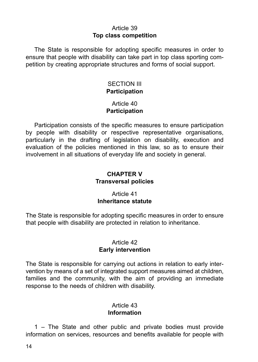#### Article 39 **Top class competition**

The State is responsible for adopting specific measures in order to ensure that people with disability can take part in top class sporting competition by creating appropriate structures and forms of social support.

#### SECTION III **Participation**

#### Article 40 **Participation**

Participation consists of the specific measures to ensure participation by people with disability or respective representative organisations, particularly in the drafting of legislation on disability, execution and evaluation of the policies mentioned in this law, so as to ensure their involvement in all situations of everyday life and society in general.

#### **CHAPTER V Transversal policies**

## Article 41 **Inheritance statute**

The State is responsible for adopting specific measures in order to ensure that people with disability are protected in relation to inheritance.

## Article 42 **Early intervention**

The State is responsible for carrying out actions in relation to early intervention by means of a set of integrated support measures aimed at children, families and the community, with the aim of providing an immediate response to the needs of children with disability.

## Article 43 **Information**

1 – The State and other public and private bodies must provide information on services, resources and benefits available for people with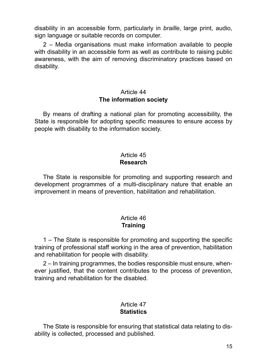disability in an accessible form, particularly in *braille*, large print, audio, sign language or suitable records on computer.

2 – Media organisations must make information available to people with disability in an accessible form as well as contribute to raising public awareness, with the aim of removing discriminatory practices based on disability.

#### Article 44 **The information society**

By means of drafting a national plan for promoting accessibility, the State is responsible for adopting specific measures to ensure access by people with disability to the information society.

#### Article 45 **Research**

The State is responsible for promoting and supporting research and development programmes of a multi-disciplinary nature that enable an improvement in means of prevention, habilitation and rehabilitation.

## Article 46 **Training**

1 – The State is responsible for promoting and supporting the specific training of professional staff working in the area of prevention, habilitation and rehabilitation for people with disability.

2 – In training programmes, the bodies responsible must ensure, whenever justified, that the content contributes to the process of prevention, training and rehabilitation for the disabled.

## Article 47 **Statistics**

The State is responsible for ensuring that statistical data relating to disability is collected, processed and published.